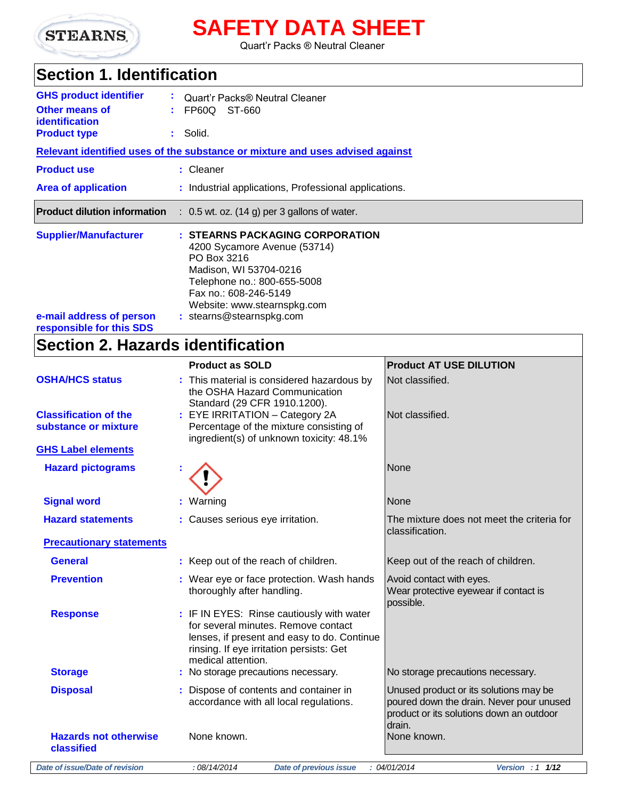

# **SAFETY DATA SHEET**

Quart'r Packs ® Neutral Cleaner

## **Section 1. Identification**

| <b>GHS product identifier</b><br><b>Other means of</b><br>identification<br><b>Product type</b> | Quart'r Packs® Neutral Cleaner<br>FP60Q ST-660<br>Solid. |                                                                                                                                                                                                                             |                                |
|-------------------------------------------------------------------------------------------------|----------------------------------------------------------|-----------------------------------------------------------------------------------------------------------------------------------------------------------------------------------------------------------------------------|--------------------------------|
|                                                                                                 |                                                          | Relevant identified uses of the substance or mixture and uses advised against                                                                                                                                               |                                |
| <b>Product use</b>                                                                              |                                                          | : Cleaner                                                                                                                                                                                                                   |                                |
| <b>Area of application</b>                                                                      |                                                          | : Industrial applications, Professional applications.                                                                                                                                                                       |                                |
| <b>Product dilution information</b>                                                             |                                                          | $: 0.5$ wt. oz. (14 g) per 3 gallons of water.                                                                                                                                                                              |                                |
| <b>Supplier/Manufacturer</b><br>e-mail address of person<br>responsible for this SDS            |                                                          | : STEARNS PACKAGING CORPORATION<br>4200 Sycamore Avenue (53714)<br>PO Box 3216<br>Madison, WI 53704-0216<br>Telephone no.: 800-655-5008<br>Fax no.: 608-246-5149<br>Website: www.stearnspkg.com<br>: stearns@stearnspkg.com |                                |
| <b>Section 2. Hazards identification</b>                                                        |                                                          |                                                                                                                                                                                                                             |                                |
|                                                                                                 |                                                          | <b>Product as SOLD</b>                                                                                                                                                                                                      | <b>Product AT USE DILUTION</b> |
| <b>OSHA/HCS status</b>                                                                          |                                                          | : This material is considered hazardous by<br>the OSHA Hazard Communication<br>Standard (29 CFR 1910.1200).                                                                                                                 | Not classified.                |
| <b>Classification of the</b><br>substance or mixture                                            |                                                          | : EYE IRRITATION - Category 2A<br>Percentage of the mixture consisting of<br>ingredient(s) of unknown toxicity: 48.1%                                                                                                       | Not classified.                |
| <b>GHS Label elements</b>                                                                       |                                                          |                                                                                                                                                                                                                             |                                |
| <b>Hazard pictograms</b>                                                                        |                                                          | Æ                                                                                                                                                                                                                           | None                           |

| <b>Signal word</b>              | : Warning                                                                                                                                                                                         | None                                                                                                                                     |
|---------------------------------|---------------------------------------------------------------------------------------------------------------------------------------------------------------------------------------------------|------------------------------------------------------------------------------------------------------------------------------------------|
| <b>Hazard statements</b>        | : Causes serious eye irritation.                                                                                                                                                                  | The mixture does not meet the criteria for<br>classification.                                                                            |
| <b>Precautionary statements</b> |                                                                                                                                                                                                   |                                                                                                                                          |
| <b>General</b>                  | : Keep out of the reach of children.                                                                                                                                                              | Keep out of the reach of children.                                                                                                       |
| <b>Prevention</b>               | : Wear eye or face protection. Wash hands<br>thoroughly after handling.                                                                                                                           | Avoid contact with eyes.<br>Wear protective eyewear if contact is<br>possible.                                                           |
| <b>Response</b>                 | : IF IN EYES: Rinse cautiously with water<br>for several minutes. Remove contact<br>lenses, if present and easy to do. Continue<br>rinsing. If eye irritation persists: Get<br>medical attention. |                                                                                                                                          |
| <b>Storage</b>                  | : No storage precautions necessary.                                                                                                                                                               | No storage precautions necessary.                                                                                                        |
| <b>Disposal</b>                 | : Dispose of contents and container in<br>accordance with all local regulations.                                                                                                                  | Unused product or its solutions may be<br>poured down the drain. Never pour unused<br>product or its solutions down an outdoor<br>drain. |
| <b>Hazards not otherwise</b>    | None known.                                                                                                                                                                                       | None known.                                                                                                                              |

**classified**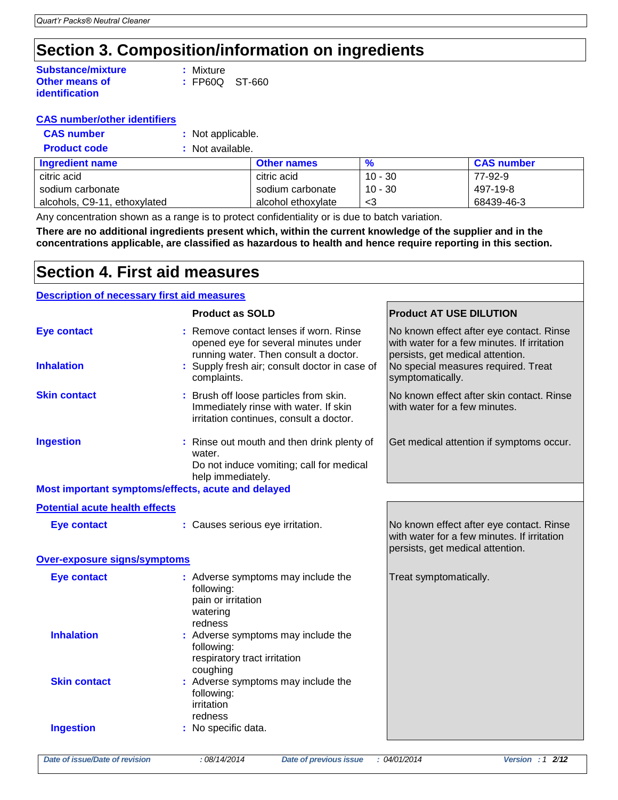## **Section 3. Composition/information on ingredients**

| <b>Substance/mixture</b> | : Mixture |                  |
|--------------------------|-----------|------------------|
| <b>Other means of</b>    |           | $:$ FP60Q ST-660 |
| <i>identification</i>    |           |                  |

|  |  | <b>CAS number/other identifiers</b> |  |  |  |
|--|--|-------------------------------------|--|--|--|
|--|--|-------------------------------------|--|--|--|

| <b>CAS number</b> | : Not applicable. |
|-------------------|-------------------|
|-------------------|-------------------|

| <b>Product code</b> | : Not available. |
|---------------------|------------------|
|                     |                  |

| <b>Ingredient name</b>       | <b>Other names</b> | $\frac{9}{6}$ | <b>CAS number</b> |
|------------------------------|--------------------|---------------|-------------------|
| citric acid                  | citric acid        | $10 - 30$     | 77-92-9           |
| sodium carbonate             | sodium carbonate   | $10 - 30$     | 497-19-8          |
| alcohols, C9-11, ethoxylated | alcohol ethoxvlate | - <3          | 68439-46-3        |

Any concentration shown as a range is to protect confidentiality or is due to batch variation.

**There are no additional ingredients present which, within the current knowledge of the supplier and in the concentrations applicable, are classified as hazardous to health and hence require reporting in this section.**

## **Section 4. First aid measures**

### **Description of necessary first aid measures**

|                                                    | <b>Product as SOLD</b>                                                                                                     | <b>Product AT USE DILUTION</b>                                                                                              |
|----------------------------------------------------|----------------------------------------------------------------------------------------------------------------------------|-----------------------------------------------------------------------------------------------------------------------------|
| <b>Eye contact</b>                                 | : Remove contact lenses if worn. Rinse<br>opened eye for several minutes under<br>running water. Then consult a doctor.    | No known effect after eye contact. Rinse<br>with water for a few minutes. If irritation<br>persists, get medical attention. |
| <b>Inhalation</b>                                  | : Supply fresh air; consult doctor in case of<br>complaints.                                                               | No special measures required. Treat<br>symptomatically.                                                                     |
| <b>Skin contact</b>                                | : Brush off loose particles from skin.<br>Immediately rinse with water. If skin<br>irritation continues, consult a doctor. | No known effect after skin contact. Rinse<br>with water for a few minutes.                                                  |
| <b>Ingestion</b>                                   | : Rinse out mouth and then drink plenty of<br>water.<br>Do not induce vomiting; call for medical<br>help immediately.      | Get medical attention if symptoms occur.                                                                                    |
| Most important symptoms/effects, acute and delayed |                                                                                                                            |                                                                                                                             |
| <b>Potential acute health effects</b>              |                                                                                                                            |                                                                                                                             |
| <b>Eye contact</b>                                 | : Causes serious eye irritation.                                                                                           | No known effect after eye contact. Rinse<br>with water for a few minutes. If irritation<br>persists, get medical attention. |
| Over-exposure signs/symptoms                       |                                                                                                                            |                                                                                                                             |
| <b>Eye contact</b>                                 | : Adverse symptoms may include the<br>following:<br>pain or irritation<br>watering<br>redness                              | Treat symptomatically.                                                                                                      |
| <b>Inhalation</b>                                  | : Adverse symptoms may include the<br>following:<br>respiratory tract irritation<br>coughing                               |                                                                                                                             |
| <b>Skin contact</b>                                | : Adverse symptoms may include the<br>following:<br>irritation<br>redness                                                  |                                                                                                                             |
| <b>Ingestion</b>                                   | : No specific data.                                                                                                        |                                                                                                                             |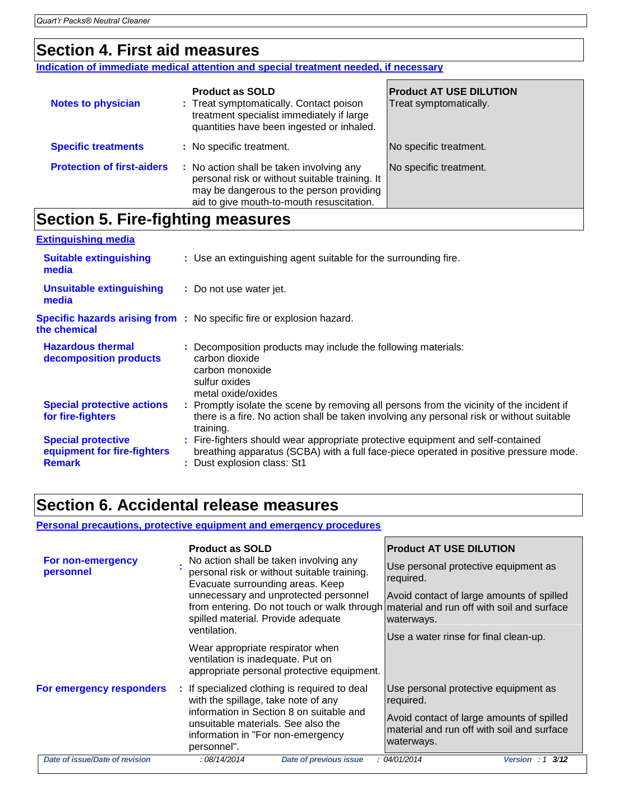### **Section 4. First aid measures**

**Indication of immediate medical attention and special treatment needed, if necessary**

| <b>Notes to physician</b>         | <b>Product as SOLD</b><br>: Treat symptomatically. Contact poison<br>treatment specialist immediately if large<br>quantities have been ingested or inhaled.                         | <b>Product AT USE DILUTION</b><br>Treat symptomatically. |
|-----------------------------------|-------------------------------------------------------------------------------------------------------------------------------------------------------------------------------------|----------------------------------------------------------|
| <b>Specific treatments</b>        | : No specific treatment.                                                                                                                                                            | No specific treatment.                                   |
| <b>Protection of first-aiders</b> | : No action shall be taken involving any<br>personal risk or without suitable training. It<br>may be dangerous to the person providing<br>aid to give mouth-to-mouth resuscitation. | No specific treatment.                                   |

### **Section 5. Fire-fighting measures**

| <b>Extinguishing media</b>                                                |                                                                                                                                                                                                         |
|---------------------------------------------------------------------------|---------------------------------------------------------------------------------------------------------------------------------------------------------------------------------------------------------|
| <b>Suitable extinguishing</b><br>media                                    | : Use an extinguishing agent suitable for the surrounding fire.                                                                                                                                         |
| <b>Unsuitable extinguishing</b><br>media                                  | : Do not use water jet.                                                                                                                                                                                 |
| the chemical                                                              | <b>Specific hazards arising from :</b> No specific fire or explosion hazard.                                                                                                                            |
| <b>Hazardous thermal</b><br>decomposition products                        | : Decomposition products may include the following materials:<br>carbon dioxide<br>carbon monoxide<br>sulfur oxides<br>metal oxide/oxides                                                               |
| <b>Special protective actions</b><br>for fire-fighters                    | : Promptly isolate the scene by removing all persons from the vicinity of the incident if<br>there is a fire. No action shall be taken involving any personal risk or without suitable<br>training.     |
| <b>Special protective</b><br>equipment for fire-fighters<br><b>Remark</b> | : Fire-fighters should wear appropriate protective equipment and self-contained<br>breathing apparatus (SCBA) with a full face-piece operated in positive pressure mode.<br>: Dust explosion class: St1 |

### **Section 6. Accidental release measures**

### **Personal precautions, protective equipment and emergency procedures**

|                                | <b>Product as SOLD</b>                                                                                                                                                                | <b>Product AT USE DILUTION</b>                                                                        |
|--------------------------------|---------------------------------------------------------------------------------------------------------------------------------------------------------------------------------------|-------------------------------------------------------------------------------------------------------|
| For non-emergency<br>personnel | No action shall be taken involving any<br>personal risk or without suitable training.<br>Evacuate surrounding areas. Keep                                                             | Use personal protective equipment as<br>required.                                                     |
|                                | unnecessary and unprotected personnel<br>from entering. Do not touch or walk through material and run off with soil and surface<br>spilled material. Provide adequate<br>ventilation. | Avoid contact of large amounts of spilled<br>waterways.                                               |
|                                | Wear appropriate respirator when<br>ventilation is inadequate. Put on<br>appropriate personal protective equipment.                                                                   | Use a water rinse for final clean-up.                                                                 |
| For emergency responders       | : If specialized clothing is required to deal<br>with the spillage, take note of any                                                                                                  | Use personal protective equipment as<br>required.                                                     |
|                                | information in Section 8 on suitable and<br>unsuitable materials. See also the<br>information in "For non-emergency<br>personnel".                                                    | Avoid contact of large amounts of spilled<br>material and run off with soil and surface<br>waterways. |
| Date of issue/Date of revision | :08/14/2014<br>Date of previous issue                                                                                                                                                 | : 04/01/2014<br>Version : 1 3/12                                                                      |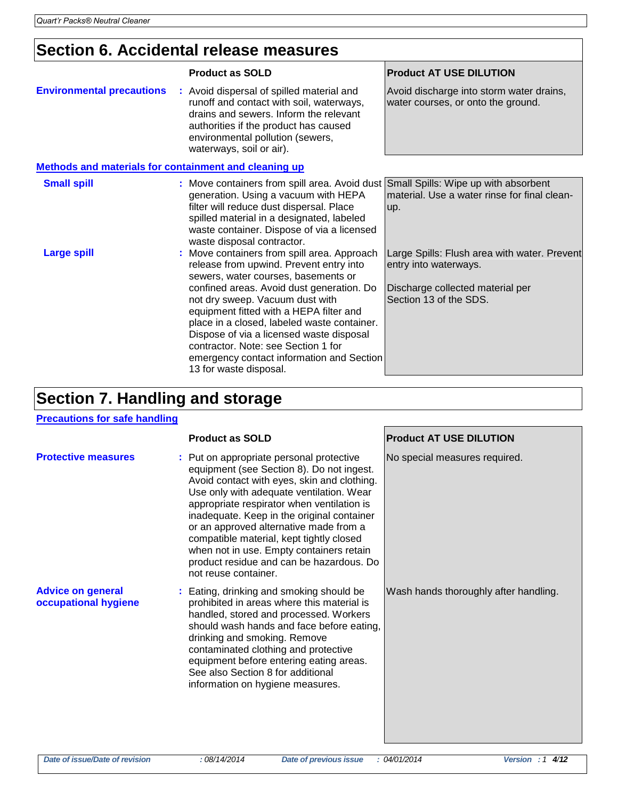## **Section 6. Accidental release measures**

|                                                              | <b>Product as SOLD</b>                                                                                                                                                                                                                                                                                                                                                                                                                                            | <b>Product AT USE DILUTION</b>                                                                                                      |
|--------------------------------------------------------------|-------------------------------------------------------------------------------------------------------------------------------------------------------------------------------------------------------------------------------------------------------------------------------------------------------------------------------------------------------------------------------------------------------------------------------------------------------------------|-------------------------------------------------------------------------------------------------------------------------------------|
| <b>Environmental precautions</b>                             | : Avoid dispersal of spilled material and<br>runoff and contact with soil, waterways,<br>drains and sewers. Inform the relevant<br>authorities if the product has caused<br>environmental pollution (sewers,<br>waterways, soil or air).                                                                                                                                                                                                                          | Avoid discharge into storm water drains,<br>water courses, or onto the ground.                                                      |
| <b>Methods and materials for containment and cleaning up</b> |                                                                                                                                                                                                                                                                                                                                                                                                                                                                   |                                                                                                                                     |
| <b>Small spill</b>                                           | : Move containers from spill area. Avoid dust Small Spills: Wipe up with absorbent<br>generation. Using a vacuum with HEPA<br>filter will reduce dust dispersal. Place<br>spilled material in a designated, labeled<br>waste container. Dispose of via a licensed<br>waste disposal contractor.                                                                                                                                                                   | material. Use a water rinse for final clean-<br>up.                                                                                 |
| <b>Large spill</b>                                           | : Move containers from spill area. Approach<br>release from upwind. Prevent entry into<br>sewers, water courses, basements or<br>confined areas. Avoid dust generation. Do<br>not dry sweep. Vacuum dust with<br>equipment fitted with a HEPA filter and<br>place in a closed, labeled waste container.<br>Dispose of via a licensed waste disposal<br>contractor. Note: see Section 1 for<br>emergency contact information and Section<br>13 for waste disposal. | Large Spills: Flush area with water. Prevent<br>entry into waterways.<br>Discharge collected material per<br>Section 13 of the SDS. |

## **Section 7. Handling and storage**

### **Precautions for safe handling**

|                                                  | <b>Product as SOLD</b>                                                                                                                                                                                                                                                                                                                                                                                                                                                             | <b>Product AT USE DILUTION</b>        |
|--------------------------------------------------|------------------------------------------------------------------------------------------------------------------------------------------------------------------------------------------------------------------------------------------------------------------------------------------------------------------------------------------------------------------------------------------------------------------------------------------------------------------------------------|---------------------------------------|
| <b>Protective measures</b>                       | : Put on appropriate personal protective<br>equipment (see Section 8). Do not ingest.<br>Avoid contact with eyes, skin and clothing.<br>Use only with adequate ventilation. Wear<br>appropriate respirator when ventilation is<br>inadequate. Keep in the original container<br>or an approved alternative made from a<br>compatible material, kept tightly closed<br>when not in use. Empty containers retain<br>product residue and can be hazardous. Do<br>not reuse container. | No special measures required.         |
| <b>Advice on general</b><br>occupational hygiene | : Eating, drinking and smoking should be<br>prohibited in areas where this material is<br>handled, stored and processed. Workers<br>should wash hands and face before eating,<br>drinking and smoking. Remove<br>contaminated clothing and protective<br>equipment before entering eating areas.<br>See also Section 8 for additional<br>information on hygiene measures.                                                                                                          | Wash hands thoroughly after handling. |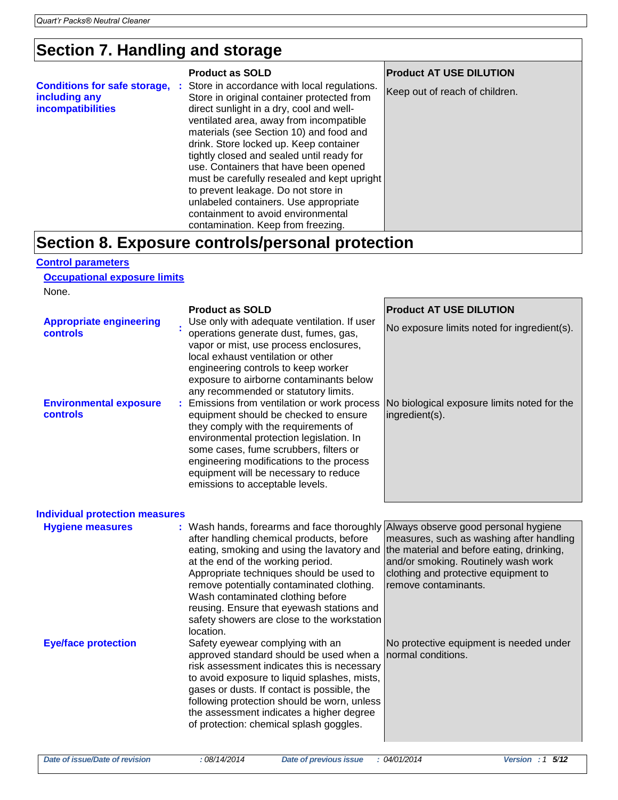## **Section 7. Handling and storage**

|                                                                           | <b>Product as SOLD</b>                                                                                                                                                                                                                                                                                                                                                                                                                                                                                                             | <b>Product AT USE DILUTION</b> |  |  |
|---------------------------------------------------------------------------|------------------------------------------------------------------------------------------------------------------------------------------------------------------------------------------------------------------------------------------------------------------------------------------------------------------------------------------------------------------------------------------------------------------------------------------------------------------------------------------------------------------------------------|--------------------------------|--|--|
| <b>Conditions for safe storage,</b><br>including any<br>incompatibilities | : Store in accordance with local regulations.<br>Store in original container protected from<br>direct sunlight in a dry, cool and well-<br>ventilated area, away from incompatible<br>materials (see Section 10) and food and<br>drink. Store locked up. Keep container<br>tightly closed and sealed until ready for<br>use. Containers that have been opened<br>must be carefully resealed and kept upright<br>to prevent leakage. Do not store in<br>unlabeled containers. Use appropriate<br>containment to avoid environmental | Keep out of reach of children. |  |  |
|                                                                           | contamination. Keep from freezing.                                                                                                                                                                                                                                                                                                                                                                                                                                                                                                 |                                |  |  |
| Section 8. Exposure controls/personal protection                          |                                                                                                                                                                                                                                                                                                                                                                                                                                                                                                                                    |                                |  |  |

#### **Control parameters**

**Occupational exposure limits**

None.

|                                                   | <b>Product as SOLD</b>                                                                                                                                                                                                                                                                                                                                                                                                                                | <b>Product AT USE DILUTION</b>                                                                                                                                                               |
|---------------------------------------------------|-------------------------------------------------------------------------------------------------------------------------------------------------------------------------------------------------------------------------------------------------------------------------------------------------------------------------------------------------------------------------------------------------------------------------------------------------------|----------------------------------------------------------------------------------------------------------------------------------------------------------------------------------------------|
| <b>Appropriate engineering</b><br><b>controls</b> | Use only with adequate ventilation. If user<br>operations generate dust, fumes, gas,<br>vapor or mist, use process enclosures,<br>local exhaust ventilation or other<br>engineering controls to keep worker<br>exposure to airborne contaminants below<br>any recommended or statutory limits.                                                                                                                                                        | No exposure limits noted for ingredient(s).                                                                                                                                                  |
| <b>Environmental exposure</b><br>controls         | Emissions from ventilation or work process<br>equipment should be checked to ensure<br>they comply with the requirements of<br>environmental protection legislation. In<br>some cases, fume scrubbers, filters or<br>engineering modifications to the process<br>equipment will be necessary to reduce<br>emissions to acceptable levels.                                                                                                             | No biological exposure limits noted for the<br>ingredient(s).                                                                                                                                |
| <b>Individual protection measures</b>             |                                                                                                                                                                                                                                                                                                                                                                                                                                                       |                                                                                                                                                                                              |
| <b>Hygiene measures</b>                           | : Wash hands, forearms and face thoroughly Always observe good personal hygiene<br>after handling chemical products, before<br>eating, smoking and using the lavatory and<br>at the end of the working period.<br>Appropriate techniques should be used to<br>remove potentially contaminated clothing.<br>Wash contaminated clothing before<br>reusing. Ensure that eyewash stations and<br>safety showers are close to the workstation<br>location. | measures, such as washing after handling<br>the material and before eating, drinking,<br>and/or smoking. Routinely wash work<br>clothing and protective equipment to<br>remove contaminants. |
| <b>Eye/face protection</b>                        | Safety eyewear complying with an<br>approved standard should be used when a<br>risk assessment indicates this is necessary<br>to avoid exposure to liquid splashes, mists,<br>gases or dusts. If contact is possible, the<br>following protection should be worn, unless<br>the assessment indicates a higher degree<br>of protection: chemical splash goggles.                                                                                       | No protective equipment is needed under<br>normal conditions.                                                                                                                                |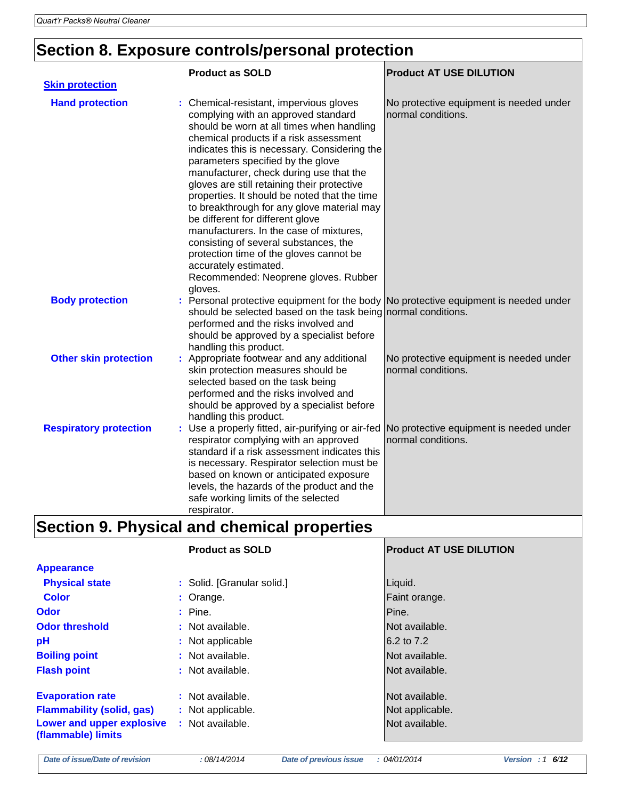# **Section 8. Exposure controls/personal protection**

|                               | <b>Product as SOLD</b>                                                                                                                                                                                                                                                                                                                                                                                                                                                                                                                                                                                                                                                                            | <b>Product AT USE DILUTION</b>                                |
|-------------------------------|---------------------------------------------------------------------------------------------------------------------------------------------------------------------------------------------------------------------------------------------------------------------------------------------------------------------------------------------------------------------------------------------------------------------------------------------------------------------------------------------------------------------------------------------------------------------------------------------------------------------------------------------------------------------------------------------------|---------------------------------------------------------------|
| <b>Skin protection</b>        |                                                                                                                                                                                                                                                                                                                                                                                                                                                                                                                                                                                                                                                                                                   |                                                               |
| <b>Hand protection</b>        | : Chemical-resistant, impervious gloves<br>complying with an approved standard<br>should be worn at all times when handling<br>chemical products if a risk assessment<br>indicates this is necessary. Considering the<br>parameters specified by the glove<br>manufacturer, check during use that the<br>gloves are still retaining their protective<br>properties. It should be noted that the time<br>to breakthrough for any glove material may<br>be different for different glove<br>manufacturers. In the case of mixtures,<br>consisting of several substances, the<br>protection time of the gloves cannot be<br>accurately estimated.<br>Recommended: Neoprene gloves. Rubber<br>gloves. | No protective equipment is needed under<br>normal conditions. |
| <b>Body protection</b>        | : Personal protective equipment for the body No protective equipment is needed under<br>should be selected based on the task being normal conditions.<br>performed and the risks involved and<br>should be approved by a specialist before<br>handling this product.                                                                                                                                                                                                                                                                                                                                                                                                                              |                                                               |
| <b>Other skin protection</b>  | : Appropriate footwear and any additional<br>skin protection measures should be<br>selected based on the task being<br>performed and the risks involved and<br>should be approved by a specialist before<br>handling this product.                                                                                                                                                                                                                                                                                                                                                                                                                                                                | No protective equipment is needed under<br>normal conditions. |
| <b>Respiratory protection</b> | Use a properly fitted, air-purifying or air-fed<br>÷.<br>respirator complying with an approved<br>standard if a risk assessment indicates this<br>is necessary. Respirator selection must be<br>based on known or anticipated exposure<br>levels, the hazards of the product and the<br>safe working limits of the selected<br>respirator.                                                                                                                                                                                                                                                                                                                                                        | No protective equipment is needed under<br>normal conditions. |

# **Section 9. Physical and chemical properties**

|                                                                                                                | <b>Product as SOLD</b>                                    | <b>Product AT USE DILUTION</b>                      |
|----------------------------------------------------------------------------------------------------------------|-----------------------------------------------------------|-----------------------------------------------------|
| <b>Appearance</b>                                                                                              |                                                           |                                                     |
| <b>Physical state</b>                                                                                          | : Solid. [Granular solid.]                                | Liquid.                                             |
| <b>Color</b>                                                                                                   | : Orange.                                                 | Faint orange.                                       |
| Odor                                                                                                           | $:$ Pine.                                                 | Pine.                                               |
| <b>Odor threshold</b>                                                                                          | : Not available.                                          | Not available.                                      |
| pH                                                                                                             | : Not applicable                                          | 6.2 to 7.2                                          |
| <b>Boiling point</b>                                                                                           | : Not available.                                          | Not available.                                      |
| <b>Flash point</b>                                                                                             | : Not available.                                          | Not available.                                      |
| <b>Evaporation rate</b><br><b>Flammability (solid, gas)</b><br>Lower and upper explosive<br>(flammable) limits | : Not available.<br>: Not applicable.<br>: Not available. | Not available.<br>Not applicable.<br>Not available. |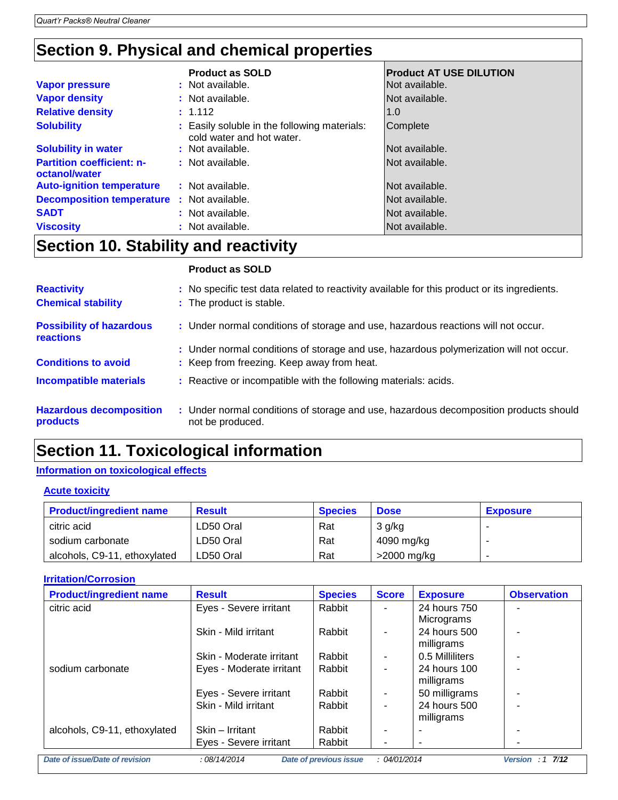## **Section 9. Physical and chemical properties**

|                                                   | <b>Product as SOLD</b>                                                    | <b>Product AT USE DILUTION</b> |
|---------------------------------------------------|---------------------------------------------------------------------------|--------------------------------|
| <b>Vapor pressure</b>                             | : Not available.                                                          | Not available.                 |
| <b>Vapor density</b>                              | : Not available.                                                          | Not available.                 |
| <b>Relative density</b>                           | : 1.112                                                                   | 1.0                            |
| <b>Solubility</b>                                 | : Easily soluble in the following materials:<br>cold water and hot water. | Complete                       |
| <b>Solubility in water</b>                        | : Not available.                                                          | Not available.                 |
| <b>Partition coefficient: n-</b><br>octanol/water | : Not available.                                                          | Not available.                 |
| <b>Auto-ignition temperature</b>                  | : Not available.                                                          | Not available.                 |
| <b>Decomposition temperature : Not available.</b> |                                                                           | Not available.                 |
| <b>SADT</b>                                       | : Not available.                                                          | Not available.                 |
| <b>Viscosity</b>                                  | : Not available.                                                          | Not available.                 |

## **Section 10. Stability and reactivity**

### **Product as SOLD**

| <b>Reactivity</b><br><b>Chemical stability</b>      | : No specific test data related to reactivity available for this product or its ingredients.<br>: The product is stable. |
|-----------------------------------------------------|--------------------------------------------------------------------------------------------------------------------------|
| <b>Possibility of hazardous</b><br><b>reactions</b> | : Under normal conditions of storage and use, hazardous reactions will not occur.                                        |
|                                                     | : Under normal conditions of storage and use, hazardous polymerization will not occur.                                   |
| <b>Conditions to avoid</b>                          | : Keep from freezing. Keep away from heat.                                                                               |
| <b>Incompatible materials</b>                       | : Reactive or incompatible with the following materials: acids.                                                          |
| <b>Hazardous decomposition</b><br>products          | : Under normal conditions of storage and use, hazardous decomposition products should<br>not be produced.                |

## **Section 11. Toxicological information**

### **Information on toxicological effects**

### **Acute toxicity**

| <b>Product/ingredient name</b> | <b>Result</b> | <b>Species</b> | <b>Dose</b>    | <b>Exposure</b> |
|--------------------------------|---------------|----------------|----------------|-----------------|
| citric acid                    | LD50 Oral     | Rat            | 3 g/kg         |                 |
| sodium carbonate               | LD50 Oral     | Rat            | 4090 mg/kg     |                 |
| alcohols, C9-11, ethoxylated   | LD50 Oral     | Rat            | $>$ 2000 mg/kg |                 |

### **Irritation/Corrosion**

| <b>Product/ingredient name</b> | <b>Result</b>            | <b>Species</b>                | <b>Score</b>             | <b>Exposure</b>            | <b>Observation</b>   |
|--------------------------------|--------------------------|-------------------------------|--------------------------|----------------------------|----------------------|
| citric acid                    | Eyes - Severe irritant   | Rabbit                        | ۰                        | 24 hours 750<br>Micrograms |                      |
|                                | Skin - Mild irritant     | Rabbit                        | ٠                        | 24 hours 500<br>milligrams |                      |
|                                | Skin - Moderate irritant | Rabbit                        | $\overline{\phantom{a}}$ | 0.5 Milliliters            |                      |
| sodium carbonate               | Eyes - Moderate irritant | Rabbit                        | $\blacksquare$           | 24 hours 100<br>milligrams |                      |
|                                | Eyes - Severe irritant   | Rabbit                        | ٠                        | 50 milligrams              |                      |
|                                | Skin - Mild irritant     | Rabbit                        |                          | 24 hours 500<br>milligrams |                      |
| alcohols, C9-11, ethoxylated   | Skin - Irritant          | Rabbit                        | $\blacksquare$           |                            |                      |
|                                | Eyes - Severe irritant   | Rabbit                        |                          | ۰                          |                      |
| Date of issue/Date of revision | :08/14/2014              | <b>Date of previous issue</b> | : 04/01/2014             |                            | Version : $1 \t7/12$ |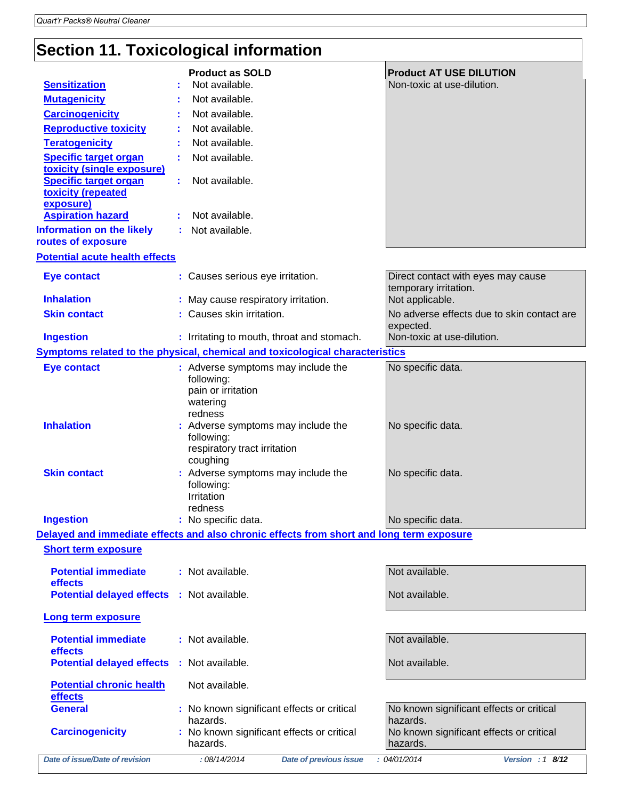# **Section 11. Toxicological information**

|                                                            |                                                 | <b>Product as SOLD</b>                                                                   | <b>Product AT USE DILUTION</b>                                   |
|------------------------------------------------------------|-------------------------------------------------|------------------------------------------------------------------------------------------|------------------------------------------------------------------|
| <b>Sensitization</b>                                       |                                                 | Not available.                                                                           | Non-toxic at use-dilution.                                       |
| <b>Mutagenicity</b>                                        |                                                 | Not available.                                                                           |                                                                  |
| <b>Carcinogenicity</b>                                     |                                                 | Not available.                                                                           |                                                                  |
| <b>Reproductive toxicity</b>                               |                                                 | Not available.                                                                           |                                                                  |
| <b>Teratogenicity</b>                                      |                                                 | Not available.                                                                           |                                                                  |
| <b>Specific target organ</b><br>toxicity (single exposure) |                                                 | Not available.                                                                           |                                                                  |
| <b>Specific target organ</b><br>toxicity (repeated         |                                                 | Not available.                                                                           |                                                                  |
| exposure)<br><b>Aspiration hazard</b>                      |                                                 | Not available.                                                                           |                                                                  |
| <b>Information on the likely</b><br>routes of exposure     | Not available.                                  |                                                                                          |                                                                  |
| <b>Potential acute health effects</b>                      |                                                 |                                                                                          |                                                                  |
|                                                            |                                                 |                                                                                          |                                                                  |
| <b>Eye contact</b>                                         |                                                 | : Causes serious eye irritation.                                                         | Direct contact with eyes may cause<br>temporary irritation.      |
| <b>Inhalation</b>                                          |                                                 | : May cause respiratory irritation.                                                      | Not applicable.                                                  |
| <b>Skin contact</b>                                        |                                                 | : Causes skin irritation.                                                                | No adverse effects due to skin contact are<br>expected.          |
| <b>Ingestion</b>                                           |                                                 | : Irritating to mouth, throat and stomach.                                               | Non-toxic at use-dilution.                                       |
|                                                            |                                                 | Symptoms related to the physical, chemical and toxicological characteristics             |                                                                  |
| <b>Eye contact</b>                                         | following:<br>watering                          | : Adverse symptoms may include the<br>pain or irritation                                 | No specific data.                                                |
| <b>Inhalation</b>                                          | redness<br>following:                           | : Adverse symptoms may include the<br>respiratory tract irritation                       | No specific data.                                                |
| <b>Skin contact</b>                                        | coughing<br>following:<br>Irritation<br>redness | : Adverse symptoms may include the                                                       | No specific data.                                                |
| <b>Ingestion</b>                                           | : No specific data.                             |                                                                                          | No specific data.                                                |
|                                                            |                                                 | Delayed and immediate effects and also chronic effects from short and long term exposure |                                                                  |
| <b>Short term exposure</b>                                 |                                                 |                                                                                          |                                                                  |
| <b>Potential immediate</b><br>effects                      | : Not available.                                |                                                                                          | Not available.                                                   |
| <b>Potential delayed effects : Not available.</b>          |                                                 |                                                                                          | Not available.                                                   |
| Long term exposure                                         |                                                 |                                                                                          |                                                                  |
| <b>Potential immediate</b><br>effects                      | : Not available.                                |                                                                                          | Not available.                                                   |
| <b>Potential delayed effects</b>                           | : Not available.                                |                                                                                          | Not available.                                                   |
| <b>Potential chronic health</b><br>effects                 | Not available.                                  |                                                                                          |                                                                  |
| <b>General</b>                                             |                                                 | : No known significant effects or critical                                               | No known significant effects or critical                         |
| <b>Carcinogenicity</b>                                     | hazards.<br>hazards.                            | : No known significant effects or critical                                               | hazards.<br>No known significant effects or critical<br>hazards. |
| Date of issue/Date of revision                             |                                                 | :08/14/2014<br><b>Date of previous issue</b>                                             | : 04/01/2014<br>Version : $1 \overline{8/12}$                    |
|                                                            |                                                 |                                                                                          |                                                                  |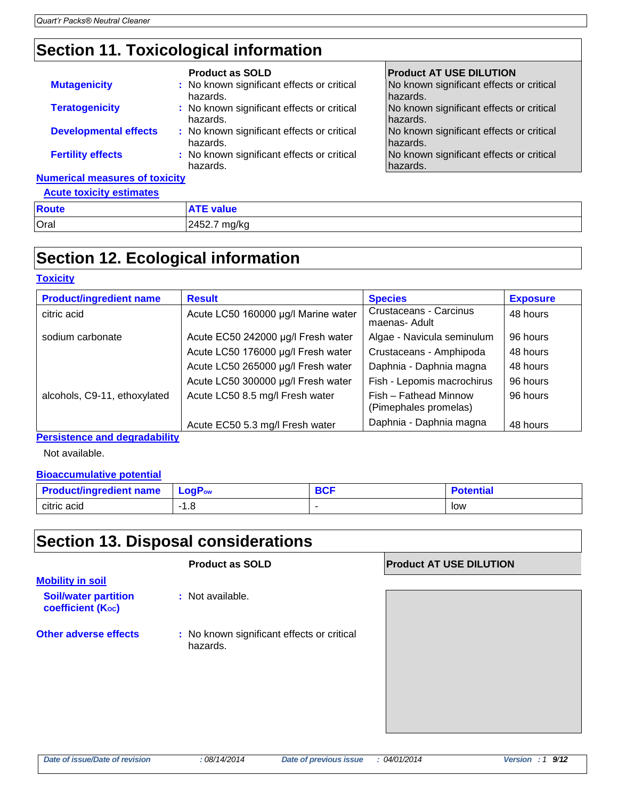## **Section 11. Toxicological information**

|                                       | <b>Product as SOLD</b>                                 | <b>Product AT USE DILUTION</b>                       |
|---------------------------------------|--------------------------------------------------------|------------------------------------------------------|
| <b>Mutagenicity</b>                   | : No known significant effects or critical<br>hazards. | No known significant effects or critical<br>hazards. |
| <b>Teratogenicity</b>                 | : No known significant effects or critical<br>hazards. | No known significant effects or critical<br>hazards. |
| <b>Developmental effects</b>          | : No known significant effects or critical<br>hazards. | No known significant effects or critical<br>hazards. |
| <b>Fertility effects</b>              | : No known significant effects or critical<br>hazards. | No known significant effects or critical<br>hazards. |
| <b>Numerical measures of toxicity</b> |                                                        |                                                      |
| <b>Acute toxicity estimates</b>       |                                                        |                                                      |

| <b>ACUTE TOXICITY ESTIMATES</b> |                  |
|---------------------------------|------------------|
| <b>Route</b>                    | <b>ATE value</b> |
| Oral                            | 2452.7 mg/kg     |

## **Section 12. Ecological information**

### **Toxicity**

| <b>Product/ingredient name</b> | <b>Result</b>                       | <b>Species</b>                                 | <b>Exposure</b> |
|--------------------------------|-------------------------------------|------------------------------------------------|-----------------|
| citric acid                    | Acute LC50 160000 µg/l Marine water | Crustaceans - Carcinus<br>maenas- Adult        | 48 hours        |
| sodium carbonate               | Acute EC50 242000 µg/l Fresh water  | Algae - Navicula seminulum                     | 96 hours        |
|                                | Acute LC50 176000 µg/l Fresh water  | Crustaceans - Amphipoda                        | 48 hours        |
|                                | Acute LC50 265000 µg/l Fresh water  | Daphnia - Daphnia magna                        | 48 hours        |
|                                | Acute LC50 300000 µg/l Fresh water  | Fish - Lepomis macrochirus                     | 96 hours        |
| alcohols, C9-11, ethoxylated   | Acute LC50 8.5 mg/l Fresh water     | Fish - Fathead Minnow<br>(Pimephales promelas) | 96 hours        |
|                                | Acute EC50 5.3 mg/l Fresh water     | Daphnia - Daphnia magna                        | 48 hours        |

**Persistence and degradability**

Not available.

### **Bioaccumulative potential**

| <b>Product/ingredient name</b> | LogP <sub>ow</sub> | n Ar<br>וטנ | <b>Potential</b> |
|--------------------------------|--------------------|-------------|------------------|
| citric acid                    | - 0<br>1.O         | -           | low              |

## **Section 13. Disposal considerations**

### **Product as SOLD Product AT USE DILUTION**

**Mobility in soil Soil/water partition coefficient (Koc)** 

- **:** Not available.
- **Other adverse effects** : No known significant effects or critical hazards.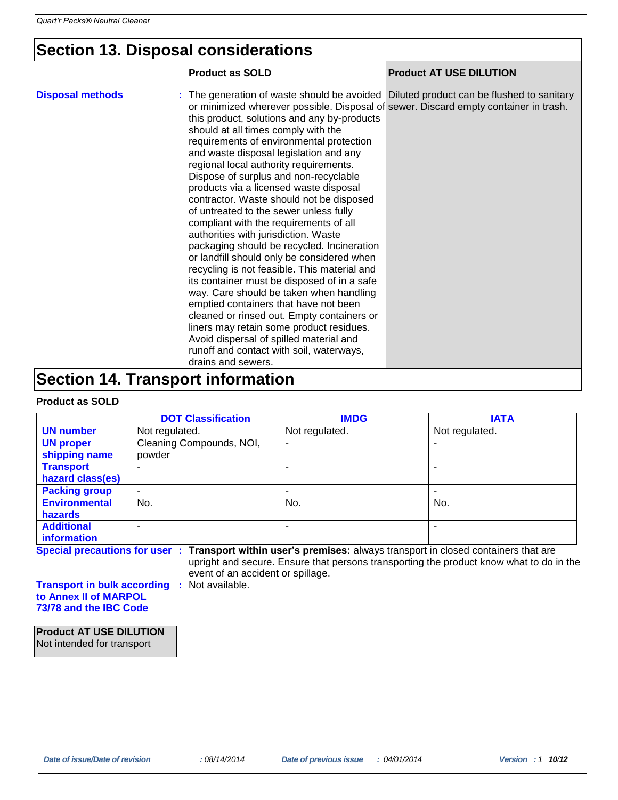## **Section 13. Disposal considerations**

|                                          | <b>Product as SOLD</b>                                                                                                                                                                                                                                                                                                                                                                                                                                                                                                                                                                                                                                                                                                                                                                                                                                                                                                                                                                                                                                                                                                                                | <b>Product AT USE DILUTION</b> |  |
|------------------------------------------|-------------------------------------------------------------------------------------------------------------------------------------------------------------------------------------------------------------------------------------------------------------------------------------------------------------------------------------------------------------------------------------------------------------------------------------------------------------------------------------------------------------------------------------------------------------------------------------------------------------------------------------------------------------------------------------------------------------------------------------------------------------------------------------------------------------------------------------------------------------------------------------------------------------------------------------------------------------------------------------------------------------------------------------------------------------------------------------------------------------------------------------------------------|--------------------------------|--|
| <b>Disposal methods</b>                  | : The generation of waste should be avoided Diluted product can be flushed to sanitary<br>or minimized wherever possible. Disposal of sewer. Discard empty container in trash.<br>this product, solutions and any by-products<br>should at all times comply with the<br>requirements of environmental protection<br>and waste disposal legislation and any<br>regional local authority requirements.<br>Dispose of surplus and non-recyclable<br>products via a licensed waste disposal<br>contractor. Waste should not be disposed<br>of untreated to the sewer unless fully<br>compliant with the requirements of all<br>authorities with jurisdiction. Waste<br>packaging should be recycled. Incineration<br>or landfill should only be considered when<br>recycling is not feasible. This material and<br>its container must be disposed of in a safe<br>way. Care should be taken when handling<br>emptied containers that have not been<br>cleaned or rinsed out. Empty containers or<br>liners may retain some product residues.<br>Avoid dispersal of spilled material and<br>runoff and contact with soil, waterways,<br>drains and sewers. |                                |  |
| <b>Section 14. Transport information</b> |                                                                                                                                                                                                                                                                                                                                                                                                                                                                                                                                                                                                                                                                                                                                                                                                                                                                                                                                                                                                                                                                                                                                                       |                                |  |

### **Product as SOLD**

|                      | <b>DOT Classification</b> | <b>IMDG</b>    | <b>IATA</b>    |
|----------------------|---------------------------|----------------|----------------|
| <b>UN number</b>     | Not regulated.            | Not regulated. | Not regulated. |
| <b>UN proper</b>     | Cleaning Compounds, NOI,  | ۰              |                |
| shipping name        | powder                    |                |                |
| <b>Transport</b>     |                           |                |                |
| hazard class(es)     |                           |                |                |
| <b>Packing group</b> | ٠                         |                |                |
| <b>Environmental</b> | No.                       | No.            | No.            |
| hazards              |                           |                |                |
| <b>Additional</b>    | -                         |                |                |
| information          |                           |                |                |

**Special precautions for user : Transport within user's premises:** always transport in closed containers that are upright and secure. Ensure that persons transporting the product know what to do in the

event of an accident or spillage.

**Transport in bulk according :** Not available. **to Annex II of MARPOL 73/78 and the IBC Code**

**Product AT USE DILUTION** Not intended for transport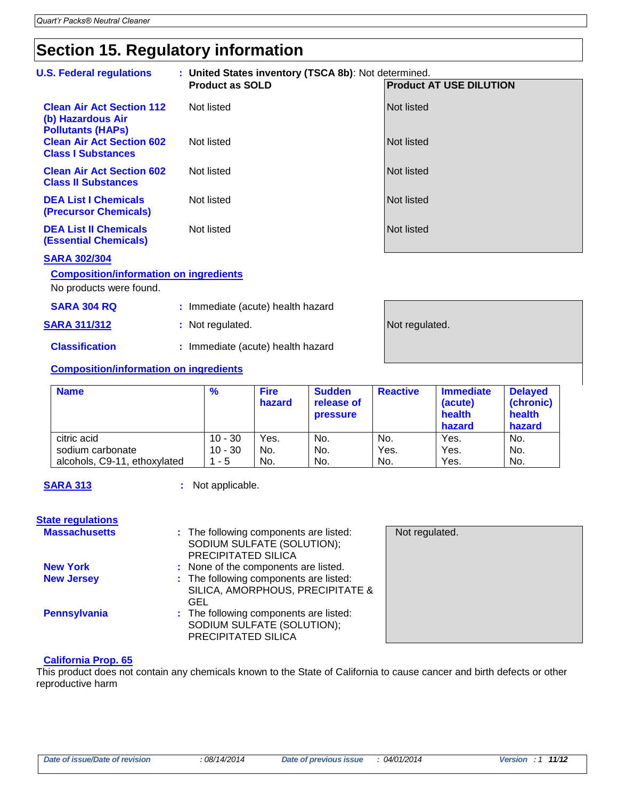## **Section 15. Regulatory information**

| <b>U.S. Federal regulations</b>                                                   |                                    | : United States inventory (TSCA 8b): Not determined.<br><b>Product as SOLD</b><br><b>Product AT USE DILUTION</b> |                                   |                                         |                   |                                                 |                                                 |
|-----------------------------------------------------------------------------------|------------------------------------|------------------------------------------------------------------------------------------------------------------|-----------------------------------|-----------------------------------------|-------------------|-------------------------------------------------|-------------------------------------------------|
| <b>Clean Air Act Section 112</b><br>(b) Hazardous Air<br><b>Pollutants (HAPs)</b> |                                    | Not listed                                                                                                       |                                   |                                         | <b>Not listed</b> |                                                 |                                                 |
| <b>Clean Air Act Section 602</b><br><b>Class I Substances</b>                     |                                    | Not listed                                                                                                       |                                   |                                         | <b>Not listed</b> |                                                 |                                                 |
| <b>Clean Air Act Section 602</b><br><b>Class II Substances</b>                    |                                    | Not listed                                                                                                       |                                   |                                         | <b>Not listed</b> |                                                 |                                                 |
| <b>DEA List I Chemicals</b><br>(Precursor Chemicals)                              |                                    | Not listed                                                                                                       |                                   |                                         | <b>Not listed</b> |                                                 |                                                 |
| <b>DEA List II Chemicals</b><br><b>(Essential Chemicals)</b>                      |                                    | Not listed                                                                                                       |                                   |                                         | <b>Not listed</b> |                                                 |                                                 |
| <b>SARA 302/304</b>                                                               |                                    |                                                                                                                  |                                   |                                         |                   |                                                 |                                                 |
| <b>Composition/information on ingredients</b><br>No products were found.          |                                    |                                                                                                                  |                                   |                                         |                   |                                                 |                                                 |
| <b>SARA 304 RQ</b>                                                                |                                    |                                                                                                                  | : Immediate (acute) health hazard |                                         |                   |                                                 |                                                 |
| <b>SARA 311/312</b>                                                               | : Not regulated.<br>Not regulated. |                                                                                                                  |                                   |                                         |                   |                                                 |                                                 |
| <b>Classification</b>                                                             | : Immediate (acute) health hazard  |                                                                                                                  |                                   |                                         |                   |                                                 |                                                 |
| <b>Composition/information on ingredients</b>                                     |                                    |                                                                                                                  |                                   |                                         |                   |                                                 |                                                 |
| <b>Name</b>                                                                       |                                    | %                                                                                                                | <b>Fire</b><br>hazard             | <b>Sudden</b><br>release of<br>pressure | <b>Reactive</b>   | <b>Immediate</b><br>(acute)<br>health<br>hazard | <b>Delayed</b><br>(chronic)<br>health<br>hazard |
| citric acid                                                                       |                                    | $10 - 30$                                                                                                        | Yes.                              | No.                                     | No.               | Yes.                                            | No.                                             |
| sodium carbonate                                                                  |                                    | $10 - 30$                                                                                                        | No.                               | No.                                     | Yes.              | Yes.                                            | No.                                             |
| alcohols, C9-11, ethoxylated                                                      |                                    | $1 - 5$                                                                                                          | No.                               | No.                                     | No.               | Yes.                                            | No.                                             |
| <b>SARA 313</b>                                                                   |                                    | : Not applicable.                                                                                                |                                   |                                         |                   |                                                 |                                                 |
| <b>State regulations</b>                                                          |                                    |                                                                                                                  |                                   |                                         |                   |                                                 |                                                 |

| <b>Massachusetts</b> | : The following components are listed:<br>SODIUM SULFATE (SOLUTION);<br>PRECIPITATED SILICA | Not regulated. |
|----------------------|---------------------------------------------------------------------------------------------|----------------|
| <b>New York</b>      | : None of the components are listed.                                                        |                |
| <b>New Jersey</b>    | : The following components are listed:<br>SILICA, AMORPHOUS, PRECIPITATE &<br>GEL           |                |
| <b>Pennsylvania</b>  | : The following components are listed:<br>SODIUM SULFATE (SOLUTION);<br>PRECIPITATED SILICA |                |

#### **California Prop. 65**

This product does not contain any chemicals known to the State of California to cause cancer and birth defects or other reproductive harm